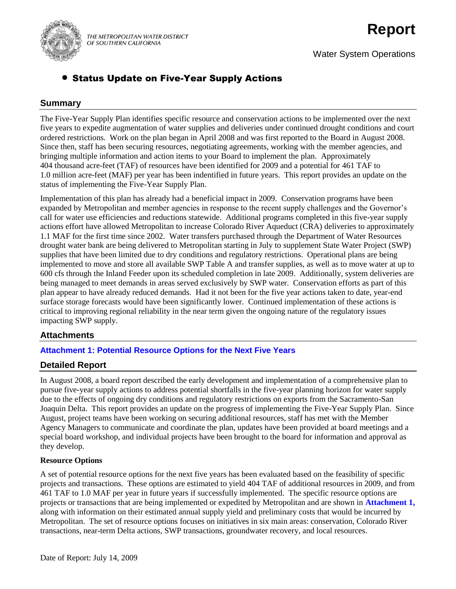

THE METROPOLITAN WATER DISTRICT OF SOUTHERN CALIFORNIA

# **Report**

Water System Operations

# Status Update on Five-Year Supply Actions

### **Summary**

The Five-Year Supply Plan identifies specific resource and conservation actions to be implemented over the next five years to expedite augmentation of water supplies and deliveries under continued drought conditions and court ordered restrictions. Work on the plan began in April 2008 and was first reported to the Board in August 2008. Since then, staff has been securing resources, negotiating agreements, working with the member agencies, and bringing multiple information and action items to your Board to implement the plan. Approximately 404 thousand acre-feet (TAF) of resources have been identified for 2009 and a potential for 461 TAF to 1.0 million acre-feet (MAF) per year has been indentified in future years. This report provides an update on the status of implementing the Five-Year Supply Plan.

Implementation of this plan has already had a beneficial impact in 2009. Conservation programs have been expanded by Metropolitan and member agencies in response to the recent supply challenges and the Governor's call for water use efficiencies and reductions statewide. Additional programs completed in this five-year supply actions effort have allowed Metropolitan to increase Colorado River Aqueduct (CRA) deliveries to approximately 1.1 MAF for the first time since 2002. Water transfers purchased through the Department of Water Resources drought water bank are being delivered to Metropolitan starting in July to supplement State Water Project (SWP) supplies that have been limited due to dry conditions and regulatory restrictions. Operational plans are being implemented to move and store all available SWP Table A and transfer supplies, as well as to move water at up to 600 cfs through the Inland Feeder upon its scheduled completion in late 2009. Additionally, system deliveries are being managed to meet demands in areas served exclusively by SWP water. Conservation efforts as part of this plan appear to have already reduced demands. Had it not been for the five year actions taken to date, year-end surface storage forecasts would have been significantly lower. Continued implementation of these actions is critical to improving regional reliability in the near term given the ongoing nature of the regulatory issues impacting SWP supply.

# **Attachments**

#### **Attachment 1: Potential Resource Options for the Next Five Years**

#### **Detailed Report**

In August 2008, a board report described the early development and implementation of a comprehensive plan to pursue five-year supply actions to address potential shortfalls in the five-year planning horizon for water supply due to the effects of ongoing dry conditions and regulatory restrictions on exports from the Sacramento-San Joaquin Delta. This report provides an update on the progress of implementing the Five-Year Supply Plan. Since August, project teams have been working on securing additional resources, staff has met with the Member Agency Managers to communicate and coordinate the plan, updates have been provided at board meetings and a special board workshop, and individual projects have been brought to the board for information and approval as they develop.

#### **Resource Options**

A set of potential resource options for the next five years has been evaluated based on the feasibility of specific projects and transactions. These options are estimated to yield 404 TAF of additional resources in 2009, and from 461 TAF to 1.0 MAF per year in future years if successfully implemented. The specific resource options are projects or transactions that are being implemented or expedited by Metropolitan and are shown in **Attachment 1,** along with information on their estimated annual supply yield and preliminary costs that would be incurred by Metropolitan. The set of resource options focuses on initiatives in six main areas: conservation, Colorado River transactions, near-term Delta actions, SWP transactions, groundwater recovery, and local resources.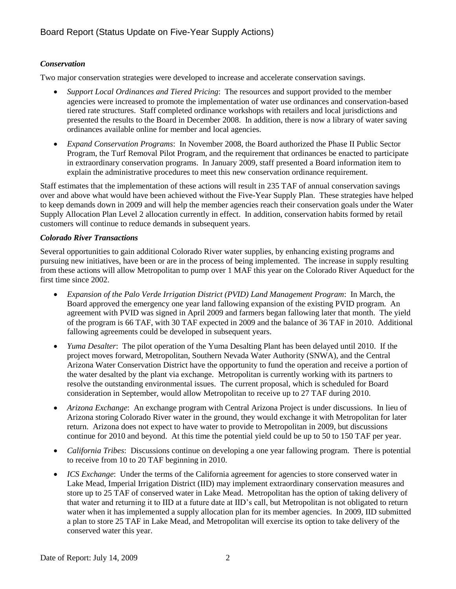## *Conservation*

Two major conservation strategies were developed to increase and accelerate conservation savings.

- *Support Local Ordinances and Tiered Pricing*: The resources and support provided to the member agencies were increased to promote the implementation of water use ordinances and conservation-based tiered rate structures. Staff completed ordinance workshops with retailers and local jurisdictions and presented the results to the Board in December 2008. In addition, there is now a library of water saving ordinances available online for member and local agencies.
- *Expand Conservation Programs*: In November 2008, the Board authorized the Phase II Public Sector Program, the Turf Removal Pilot Program, and the requirement that ordinances be enacted to participate in extraordinary conservation programs. In January 2009, staff presented a Board information item to explain the administrative procedures to meet this new conservation ordinance requirement.

Staff estimates that the implementation of these actions will result in 235 TAF of annual conservation savings over and above what would have been achieved without the Five-Year Supply Plan. These strategies have helped to keep demands down in 2009 and will help the member agencies reach their conservation goals under the Water Supply Allocation Plan Level 2 allocation currently in effect. In addition, conservation habits formed by retail customers will continue to reduce demands in subsequent years.

#### *Colorado River Transactions*

Several opportunities to gain additional Colorado River water supplies, by enhancing existing programs and pursuing new initiatives, have been or are in the process of being implemented. The increase in supply resulting from these actions will allow Metropolitan to pump over 1 MAF this year on the Colorado River Aqueduct for the first time since 2002.

- *Expansion of the Palo Verde Irrigation District (PVID) Land Management Program*: In March, the Board approved the emergency one year land fallowing expansion of the existing PVID program. An agreement with PVID was signed in April 2009 and farmers began fallowing later that month. The yield of the program is 66 TAF, with 30 TAF expected in 2009 and the balance of 36 TAF in 2010. Additional fallowing agreements could be developed in subsequent years.
- *Yuma Desalter*: The pilot operation of the Yuma Desalting Plant has been delayed until 2010. If the project moves forward, Metropolitan, Southern Nevada Water Authority (SNWA), and the Central Arizona Water Conservation District have the opportunity to fund the operation and receive a portion of the water desalted by the plant via exchange. Metropolitan is currently working with its partners to resolve the outstanding environmental issues. The current proposal, which is scheduled for Board consideration in September, would allow Metropolitan to receive up to 27 TAF during 2010.
- *Arizona Exchange*: An exchange program with Central Arizona Project is under discussions. In lieu of Arizona storing Colorado River water in the ground, they would exchange it with Metropolitan for later return. Arizona does not expect to have water to provide to Metropolitan in 2009, but discussions continue for 2010 and beyond. At this time the potential yield could be up to 50 to 150 TAF per year.
- *California Tribes*: Discussions continue on developing a one year fallowing program. There is potential to receive from 10 to 20 TAF beginning in 2010.
- *ICS Exchange*: Under the terms of the California agreement for agencies to store conserved water in Lake Mead, Imperial Irrigation District (IID) may implement extraordinary conservation measures and store up to 25 TAF of conserved water in Lake Mead. Metropolitan has the option of taking delivery of that water and returning it to IID at a future date at IID's call, but Metropolitan is not obligated to return water when it has implemented a supply allocation plan for its member agencies. In 2009, IID submitted a plan to store 25 TAF in Lake Mead, and Metropolitan will exercise its option to take delivery of the conserved water this year.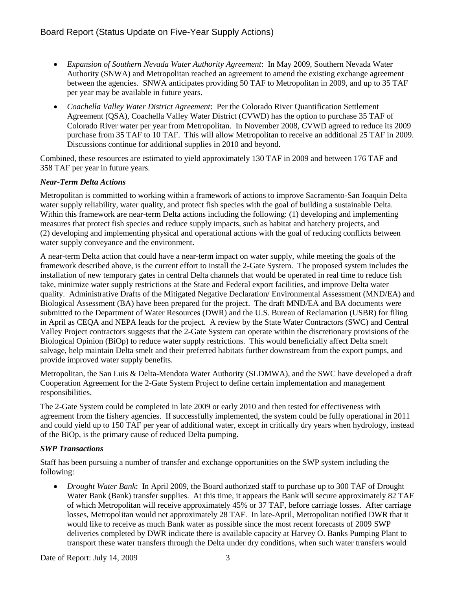- *Expansion of Southern Nevada Water Authority Agreement*: In May 2009, Southern Nevada Water Authority (SNWA) and Metropolitan reached an agreement to amend the existing exchange agreement between the agencies. SNWA anticipates providing 50 TAF to Metropolitan in 2009, and up to 35 TAF per year may be available in future years.
- *Coachella Valley Water District Agreement*: Per the Colorado River Quantification Settlement Agreement (QSA), Coachella Valley Water District (CVWD) has the option to purchase 35 TAF of Colorado River water per year from Metropolitan. In November 2008, CVWD agreed to reduce its 2009 purchase from 35 TAF to 10 TAF. This will allow Metropolitan to receive an additional 25 TAF in 2009. Discussions continue for additional supplies in 2010 and beyond.

Combined, these resources are estimated to yield approximately 130 TAF in 2009 and between 176 TAF and 358 TAF per year in future years.

#### *Near-Term Delta Actions*

Metropolitan is committed to working within a framework of actions to improve Sacramento-San Joaquin Delta water supply reliability, water quality, and protect fish species with the goal of building a sustainable Delta. Within this framework are near-term Delta actions including the following: (1) developing and implementing measures that protect fish species and reduce supply impacts, such as habitat and hatchery projects, and (2) developing and implementing physical and operational actions with the goal of reducing conflicts between water supply conveyance and the environment.

A near-term Delta action that could have a near-term impact on water supply, while meeting the goals of the framework described above, is the current effort to install the 2-Gate System. The proposed system includes the installation of new temporary gates in central Delta channels that would be operated in real time to reduce fish take, minimize water supply restrictions at the State and Federal export facilities, and improve Delta water quality. Administrative Drafts of the Mitigated Negative Declaration/ Environmental Assessment (MND/EA) and Biological Assessment (BA) have been prepared for the project. The draft MND/EA and BA documents were submitted to the Department of Water Resources (DWR) and the U.S. Bureau of Reclamation (USBR) for filing in April as CEQA and NEPA leads for the project. A review by the State Water Contractors (SWC) and Central Valley Project contractors suggests that the 2-Gate System can operate within the discretionary provisions of the Biological Opinion (BiOp) to reduce water supply restrictions. This would beneficially affect Delta smelt salvage, help maintain Delta smelt and their preferred habitats further downstream from the export pumps, and provide improved water supply benefits.

Metropolitan, the San Luis & Delta-Mendota Water Authority (SLDMWA), and the SWC have developed a draft Cooperation Agreement for the 2-Gate System Project to define certain implementation and management responsibilities.

The 2-Gate System could be completed in late 2009 or early 2010 and then tested for effectiveness with agreement from the fishery agencies. If successfully implemented, the system could be fully operational in 2011 and could yield up to 150 TAF per year of additional water, except in critically dry years when hydrology, instead of the BiOp, is the primary cause of reduced Delta pumping.

#### *SWP Transactions*

Staff has been pursuing a number of transfer and exchange opportunities on the SWP system including the following:

 *Drought Water Bank*: In April 2009, the Board authorized staff to purchase up to 300 TAF of Drought Water Bank (Bank) transfer supplies. At this time, it appears the Bank will secure approximately 82 TAF of which Metropolitan will receive approximately 45% or 37 TAF, before carriage losses. After carriage losses, Metropolitan would net approximately 28 TAF. In late-April, Metropolitan notified DWR that it would like to receive as much Bank water as possible since the most recent forecasts of 2009 SWP deliveries completed by DWR indicate there is available capacity at Harvey O. Banks Pumping Plant to transport these water transfers through the Delta under dry conditions, when such water transfers would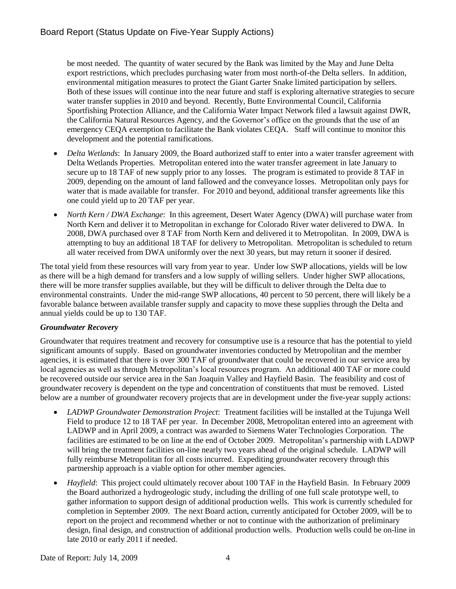be most needed. The quantity of water secured by the Bank was limited by the May and June Delta export restrictions, which precludes purchasing water from most north-of-the Delta sellers. In addition, environmental mitigation measures to protect the Giant Garter Snake limited participation by sellers. Both of these issues will continue into the near future and staff is exploring alternative strategies to secure water transfer supplies in 2010 and beyond. Recently, Butte Environmental Council, California Sportfishing Protection Alliance, and the California Water Impact Network filed a lawsuit against DWR, the California Natural Resources Agency, and the Governor's office on the grounds that the use of an emergency CEQA exemption to facilitate the Bank violates CEQA. Staff will continue to monitor this development and the potential ramifications.

- *Delta Wetlands*: In January 2009, the Board authorized staff to enter into a water transfer agreement with Delta Wetlands Properties. Metropolitan entered into the water transfer agreement in late January to secure up to 18 TAF of new supply prior to any losses. The program is estimated to provide 8 TAF in 2009, depending on the amount of land fallowed and the conveyance losses. Metropolitan only pays for water that is made available for transfer. For 2010 and beyond, additional transfer agreements like this one could yield up to 20 TAF per year.
- *North Kern / DWA Exchange*: In this agreement, Desert Water Agency (DWA) will purchase water from North Kern and deliver it to Metropolitan in exchange for Colorado River water delivered to DWA. In 2008, DWA purchased over 8 TAF from North Kern and delivered it to Metropolitan. In 2009, DWA is attempting to buy an additional 18 TAF for delivery to Metropolitan. Metropolitan is scheduled to return all water received from DWA uniformly over the next 30 years, but may return it sooner if desired.

The total yield from these resources will vary from year to year. Under low SWP allocations, yields will be low as there will be a high demand for transfers and a low supply of willing sellers. Under higher SWP allocations, there will be more transfer supplies available, but they will be difficult to deliver through the Delta due to environmental constraints. Under the mid-range SWP allocations, 40 percent to 50 percent, there will likely be a favorable balance between available transfer supply and capacity to move these supplies through the Delta and annual yields could be up to 130 TAF.

# *Groundwater Recovery*

Groundwater that requires treatment and recovery for consumptive use is a resource that has the potential to yield significant amounts of supply. Based on groundwater inventories conducted by Metropolitan and the member agencies, it is estimated that there is over 300 TAF of groundwater that could be recovered in our service area by local agencies as well as through Metropolitan's local resources program. An additional 400 TAF or more could be recovered outside our service area in the San Joaquin Valley and Hayfield Basin. The feasibility and cost of groundwater recovery is dependent on the type and concentration of constituents that must be removed. Listed below are a number of groundwater recovery projects that are in development under the five-year supply actions:

- *LADWP Groundwater Demonstration Project*: Treatment facilities will be installed at the Tujunga Well Field to produce 12 to 18 TAF per year. In December 2008, Metropolitan entered into an agreement with LADWP and in April 2009, a contract was awarded to Siemens Water Technologies Corporation. The facilities are estimated to be on line at the end of October 2009. Metropolitan's partnership with LADWP will bring the treatment facilities on-line nearly two years ahead of the original schedule. LADWP will fully reimburse Metropolitan for all costs incurred. Expediting groundwater recovery through this partnership approach is a viable option for other member agencies.
- *Hayfield*: This project could ultimately recover about 100 TAF in the Hayfield Basin. In February 2009 the Board authorized a hydrogeologic study, including the drilling of one full scale prototype well, to gather information to support design of additional production wells. This work is currently scheduled for completion in September 2009. The next Board action, currently anticipated for October 2009, will be to report on the project and recommend whether or not to continue with the authorization of preliminary design, final design, and construction of additional production wells. Production wells could be on-line in late 2010 or early 2011 if needed.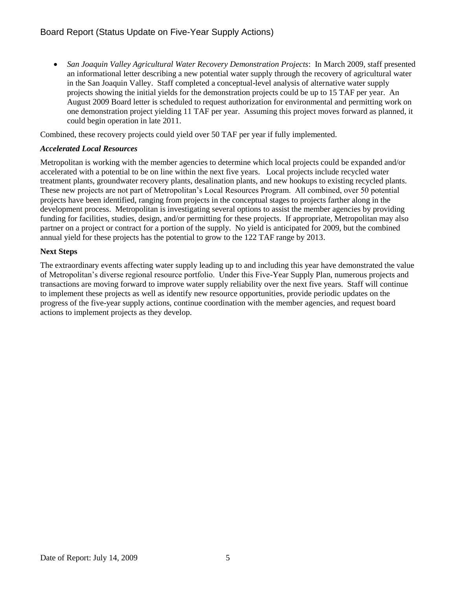*San Joaquin Valley Agricultural Water Recovery Demonstration Projects*: In March 2009, staff presented an informational letter describing a new potential water supply through the recovery of agricultural water in the San Joaquin Valley. Staff completed a conceptual-level analysis of alternative water supply projects showing the initial yields for the demonstration projects could be up to 15 TAF per year. An August 2009 Board letter is scheduled to request authorization for environmental and permitting work on one demonstration project yielding 11 TAF per year. Assuming this project moves forward as planned, it could begin operation in late 2011.

Combined, these recovery projects could yield over 50 TAF per year if fully implemented.

#### *Accelerated Local Resources*

Metropolitan is working with the member agencies to determine which local projects could be expanded and/or accelerated with a potential to be on line within the next five years. Local projects include recycled water treatment plants, groundwater recovery plants, desalination plants, and new hookups to existing recycled plants. These new projects are not part of Metropolitan's Local Resources Program. All combined, over 50 potential projects have been identified, ranging from projects in the conceptual stages to projects farther along in the development process. Metropolitan is investigating several options to assist the member agencies by providing funding for facilities, studies, design, and/or permitting for these projects. If appropriate, Metropolitan may also partner on a project or contract for a portion of the supply. No yield is anticipated for 2009, but the combined annual yield for these projects has the potential to grow to the 122 TAF range by 2013.

#### **Next Steps**

The extraordinary events affecting water supply leading up to and including this year have demonstrated the value of Metropolitan's diverse regional resource portfolio. Under this Five-Year Supply Plan, numerous projects and transactions are moving forward to improve water supply reliability over the next five years. Staff will continue to implement these projects as well as identify new resource opportunities, provide periodic updates on the progress of the five-year supply actions, continue coordination with the member agencies, and request board actions to implement projects as they develop.